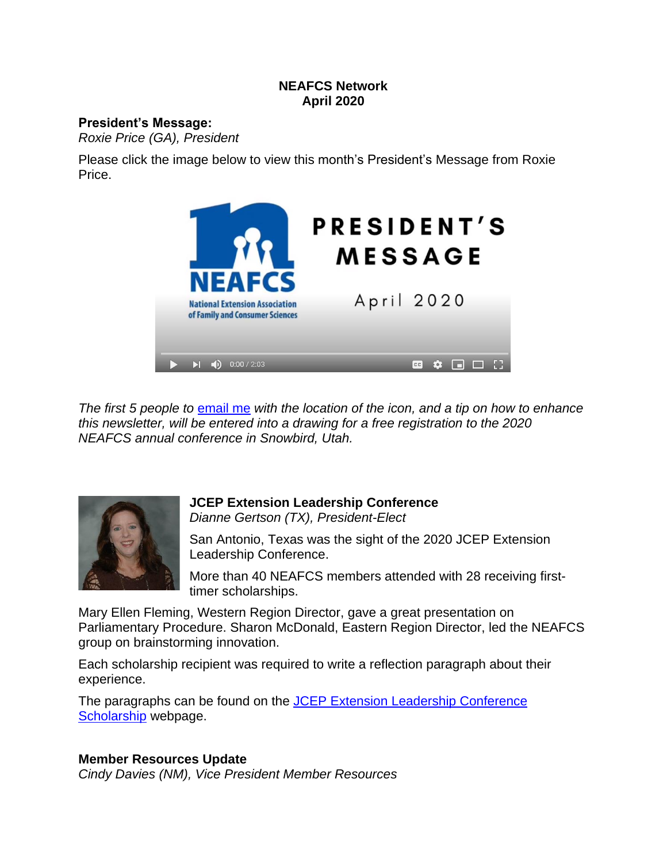#### **NEAFCS Network April 2020**

#### **President's Message:**

*Roxie Price (GA), President*

Please click the image below to view this month's President's Message from Roxie Price.



*The first 5 people to* [email](mailto:roxieb@uga.edu?subject=Snowbird%20Contest%20April%202020) me *with the location of the icon, and a tip on how to enhance this newsletter, will be entered into a drawing for a free registration to the 2020 NEAFCS annual conference in Snowbird, Utah.*



**JCEP Extension Leadership Conference** *Dianne Gertson (TX), President-Elect*

San Antonio, Texas was the sight of the 2020 JCEP Extension Leadership Conference.

More than 40 NEAFCS members attended with 28 receiving firsttimer scholarships.

Mary Ellen Fleming, Western Region Director, gave a great presentation on Parliamentary Procedure. Sharon McDonald, Eastern Region Director, led the NEAFCS group on brainstorming innovation.

Each scholarship recipient was required to write a reflection paragraph about their experience.

The paragraphs can be found on the **JCEP Extension Leadership [Conference](file:///C:/Users/trusselljl/Downloads/www.neafcs.org/jcep-extension-leadership-conference)** [Scholarship](file:///C:/Users/trusselljl/Downloads/www.neafcs.org/jcep-extension-leadership-conference) webpage.

## **Member Resources Update**

*Cindy Davies (NM), Vice President Member Resources*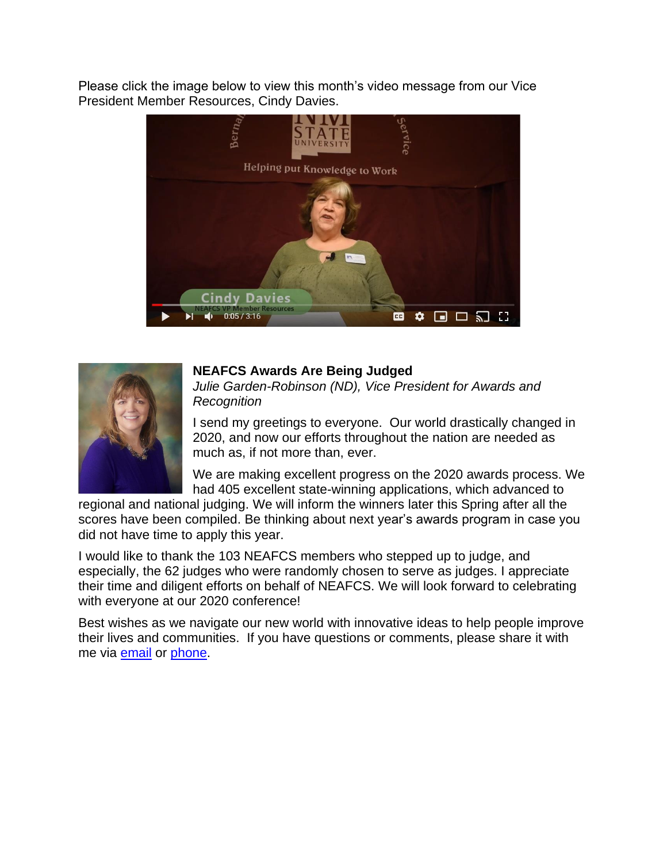Please click the image below to view this month's video message from our Vice President Member Resources, Cindy Davies.





## **NEAFCS Awards Are Being Judged**

*Julie Garden-Robinson (ND), Vice President for Awards and Recognition* 

I send my greetings to everyone. Our world drastically changed in 2020, and now our efforts throughout the nation are needed as much as, if not more than, ever.

We are making excellent progress on the 2020 awards process. We had 405 excellent state-winning applications, which advanced to

regional and national judging. We will inform the winners later this Spring after all the scores have been compiled. Be thinking about next year's awards program in case you did not have time to apply this year.

I would like to thank the 103 NEAFCS members who stepped up to judge, and especially, the 62 judges who were randomly chosen to serve as judges. I appreciate their time and diligent efforts on behalf of NEAFCS. We will look forward to celebrating with everyone at our 2020 conference!

Best wishes as we navigate our new world with innovative ideas to help people improve their lives and communities. If you have questions or comments, please share it with me via [email](mailto:Julie.garden-robinson@ndsu.edu) or [phone.](tel://701-231-7187/)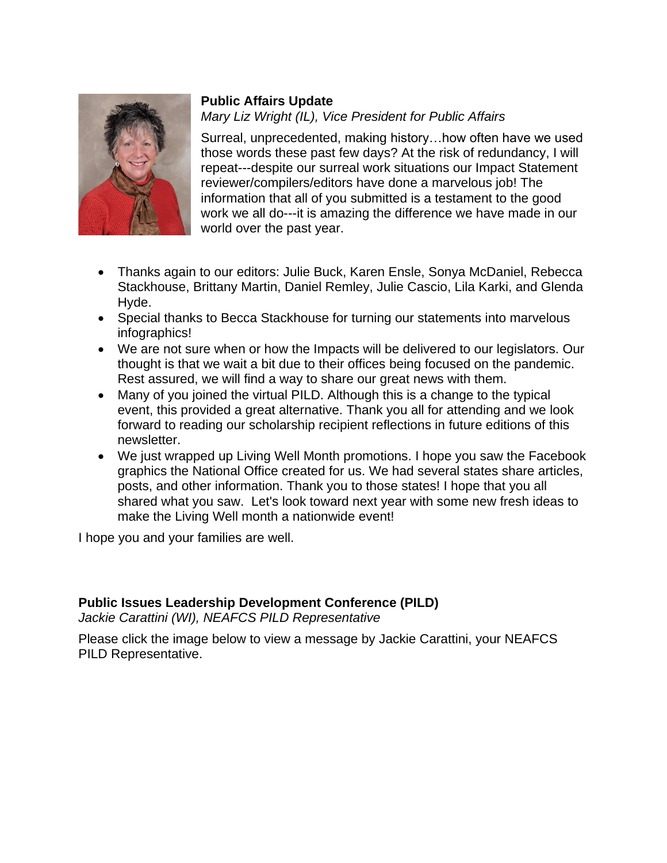

## **Public Affairs Update**

*Mary Liz Wright (IL), Vice President for Public Affairs*

Surreal, unprecedented, making history…how often have we used those words these past few days? At the risk of redundancy, I will repeat---despite our surreal work situations our Impact Statement reviewer/compilers/editors have done a marvelous job! The information that all of you submitted is a testament to the good work we all do---it is amazing the difference we have made in our world over the past year.

- Thanks again to our editors: Julie Buck, Karen Ensle, Sonya McDaniel, Rebecca Stackhouse, Brittany Martin, Daniel Remley, Julie Cascio, Lila Karki, and Glenda Hyde.
- Special thanks to Becca Stackhouse for turning our statements into marvelous infographics!
- We are not sure when or how the Impacts will be delivered to our legislators. Our thought is that we wait a bit due to their offices being focused on the pandemic. Rest assured, we will find a way to share our great news with them.
- Many of you joined the virtual PILD. Although this is a change to the typical event, this provided a great alternative. Thank you all for attending and we look forward to reading our scholarship recipient reflections in future editions of this newsletter.
- We just wrapped up Living Well Month promotions. I hope you saw the Facebook graphics the National Office created for us. We had several states share articles, posts, and other information. Thank you to those states! I hope that you all shared what you saw. Let's look toward next year with some new fresh ideas to make the Living Well month a nationwide event!

I hope you and your families are well.

## **Public Issues Leadership Development Conference (PILD)**

*Jackie Carattini (WI), NEAFCS PILD Representative*

Please click the image below to view a message by Jackie Carattini, your NEAFCS PILD Representative.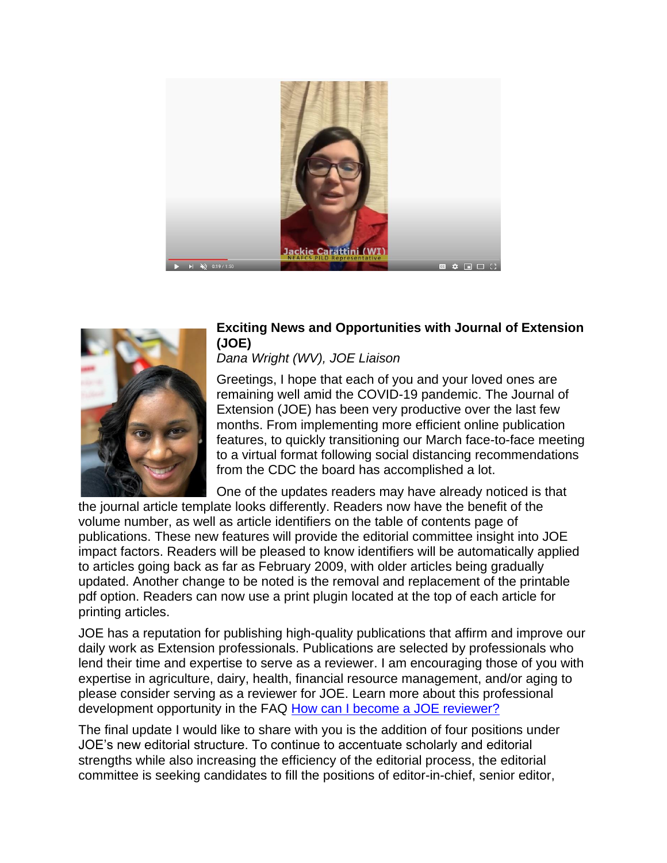



## **Exciting News and Opportunities with Journal of Extension (JOE)**

# *Dana Wright (WV), JOE Liaison*

Greetings, I hope that each of you and your loved ones are remaining well amid the COVID-19 pandemic. The Journal of Extension (JOE) has been very productive over the last few months. From implementing more efficient online publication features, to quickly transitioning our March face-to-face meeting to a virtual format following social distancing recommendations from the CDC the board has accomplished a lot.

One of the updates readers may have already noticed is that

the journal article template looks differently. Readers now have the benefit of the volume number, as well as article identifiers on the table of contents page of publications. These new features will provide the editorial committee insight into JOE impact factors. Readers will be pleased to know identifiers will be automatically applied to articles going back as far as February 2009, with older articles being gradually updated. Another change to be noted is the removal and replacement of the printable pdf option. Readers can now use a print plugin located at the top of each article for printing articles.

JOE has a reputation for publishing high-quality publications that affirm and improve our daily work as Extension professionals. Publications are selected by professionals who lend their time and expertise to serve as a reviewer. I am encouraging those of you with expertise in agriculture, dairy, health, financial resource management, and/or aging to please consider serving as a reviewer for JOE. Learn more about this professional development opportunity in the FAQ [How can I become a JOE reviewer?](https://www.joe.org/about-faqs.php#gq08)

The final update I would like to share with you is the addition of four positions under JOE's new editorial structure. To continue to accentuate scholarly and editorial strengths while also increasing the efficiency of the editorial process, the editorial committee is seeking candidates to fill the positions of editor-in-chief, senior editor,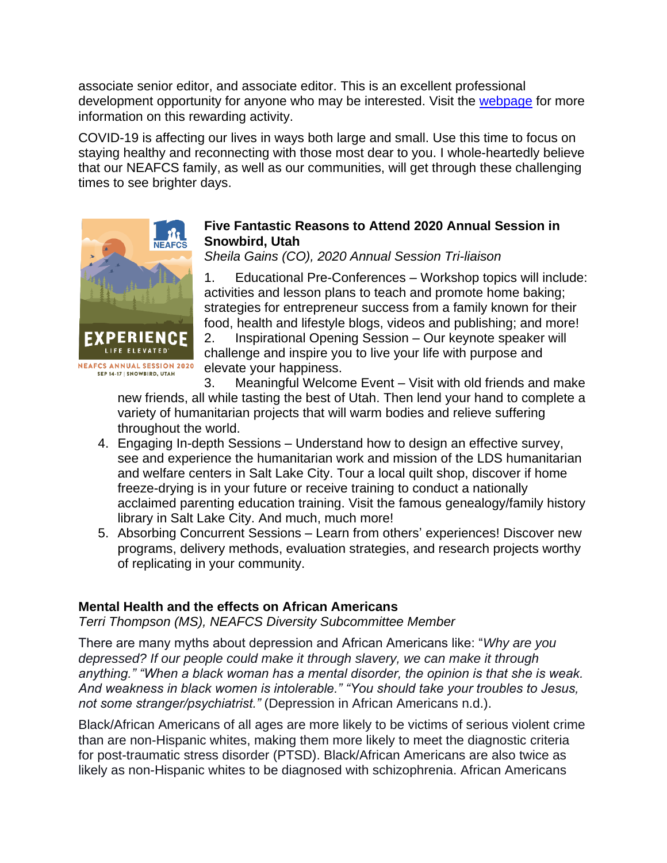associate senior editor, and associate editor. This is an excellent professional development opportunity for anyone who may be interested. Visit the [webpage](https://joe.org/editorial-positions.php) for more information on this rewarding activity.

COVID-19 is affecting our lives in ways both large and small. Use this time to focus on staying healthy and reconnecting with those most dear to you. I whole-heartedly believe that our NEAFCS family, as well as our communities, will get through these challenging times to see brighter days.



## **Five Fantastic Reasons to Attend 2020 Annual Session in Snowbird, Utah**

*Sheila Gains (CO), 2020 Annual Session Tri-liaison*

1. Educational Pre-Conferences – Workshop topics will include: activities and lesson plans to teach and promote home baking; strategies for entrepreneur success from a family known for their food, health and lifestyle blogs, videos and publishing; and more!

2. Inspirational Opening Session – Our keynote speaker will challenge and inspire you to live your life with purpose and elevate your happiness.

3. Meaningful Welcome Event – Visit with old friends and make new friends, all while tasting the best of Utah. Then lend your hand to complete a variety of humanitarian projects that will warm bodies and relieve suffering throughout the world.

- 4. Engaging In-depth Sessions Understand how to design an effective survey, see and experience the humanitarian work and mission of the LDS humanitarian and welfare centers in Salt Lake City. Tour a local quilt shop, discover if home freeze-drying is in your future or receive training to conduct a nationally acclaimed parenting education training. Visit the famous genealogy/family history library in Salt Lake City. And much, much more!
- 5. Absorbing Concurrent Sessions Learn from others' experiences! Discover new programs, delivery methods, evaluation strategies, and research projects worthy of replicating in your community.

## **Mental Health and the effects on African Americans**

*Terri Thompson (MS), NEAFCS Diversity Subcommittee Member*

There are many myths about depression and African Americans like: "*Why are you depressed? If our people could make it through slavery, we can make it through anything." "When a black woman has a mental disorder, the opinion is that she is weak. And weakness in black women is intolerable." "You should take your troubles to Jesus, not some stranger/psychiatrist."* (Depression in African Americans n.d.).

Black/African Americans of all ages are more likely to be victims of serious violent crime than are non-Hispanic whites, making them more likely to meet the diagnostic criteria for post-traumatic stress disorder (PTSD). Black/African Americans are also twice as likely as non-Hispanic whites to be diagnosed with schizophrenia. African Americans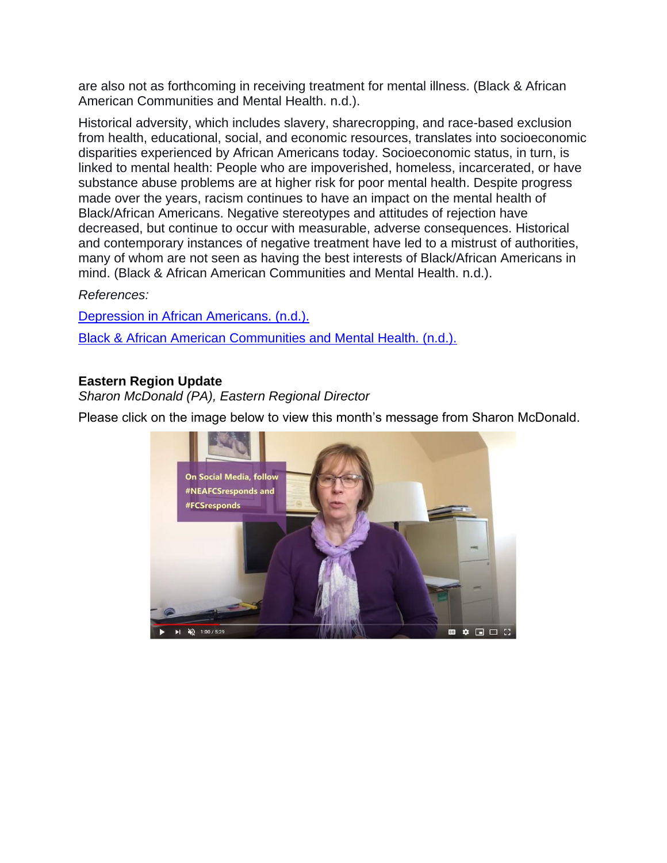are also not as forthcoming in receiving treatment for mental illness. (Black & African American Communities and Mental Health. n.d.).

Historical adversity, which includes slavery, sharecropping, and race-based exclusion from health, educational, social, and economic resources, translates into socioeconomic disparities experienced by African Americans today. Socioeconomic status, in turn, is linked to mental health: People who are impoverished, homeless, incarcerated, or have substance abuse problems are at higher risk for poor mental health. Despite progress made over the years, racism continues to have an impact on the mental health of Black/African Americans. Negative stereotypes and attitudes of rejection have decreased, but continue to occur with measurable, adverse consequences. Historical and contemporary instances of negative treatment have led to a mistrust of authorities, many of whom are not seen as having the best interests of Black/African Americans in mind. (Black & African American Communities and Mental Health. n.d.).

## *References:*

[Depression in African Americans. \(n.d.\).](https://www.mhanational.org/depression-african-americans) [Black & African American Communities and Mental Health. \(n.d.\).](https://www.mhanational.org/issues/black-african-american-communities-and-mental-health)

## **Eastern Region Update**

*Sharon McDonald (PA), Eastern Regional Director* 

Please click on the image below to view this month's message from Sharon McDonald.

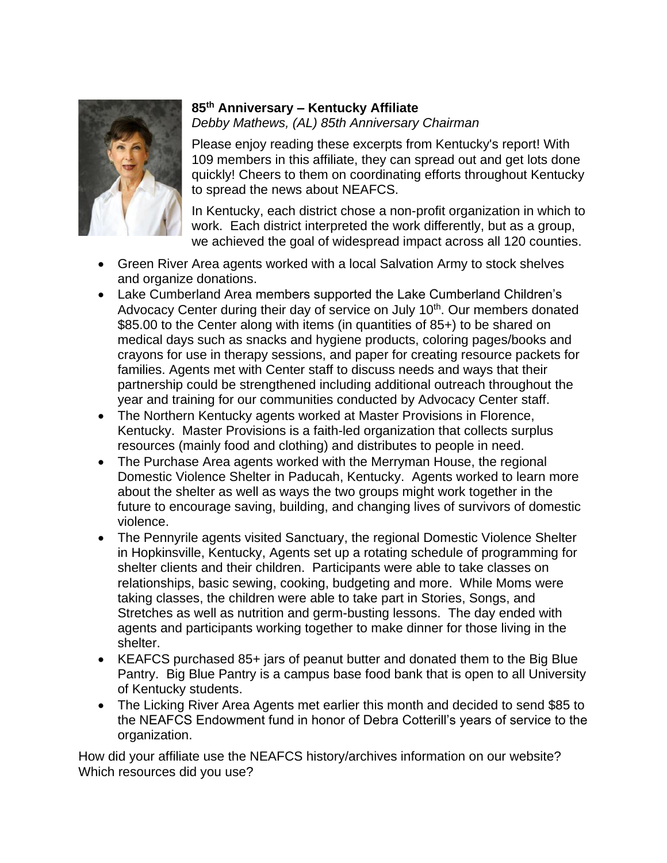

# **85th Anniversary – Kentucky Affiliate**

*Debby Mathews, (AL) 85th Anniversary Chairman*

Please enjoy reading these excerpts from Kentucky's report! With 109 members in this affiliate, they can spread out and get lots done quickly! Cheers to them on coordinating efforts throughout Kentucky to spread the news about NEAFCS.

In Kentucky, each district chose a non-profit organization in which to work. Each district interpreted the work differently, but as a group, we achieved the goal of widespread impact across all 120 counties.

- Green River Area agents worked with a local Salvation Army to stock shelves and organize donations.
- Lake Cumberland Area members supported the Lake Cumberland Children's Advocacy Center during their day of service on July 10<sup>th</sup>. Our members donated \$85.00 to the Center along with items (in quantities of 85+) to be shared on medical days such as snacks and hygiene products, coloring pages/books and crayons for use in therapy sessions, and paper for creating resource packets for families. Agents met with Center staff to discuss needs and ways that their partnership could be strengthened including additional outreach throughout the year and training for our communities conducted by Advocacy Center staff.
- The Northern Kentucky agents worked at Master Provisions in Florence, Kentucky. Master Provisions is a faith-led organization that collects surplus resources (mainly food and clothing) and distributes to people in need.
- The Purchase Area agents worked with the Merryman House, the regional Domestic Violence Shelter in Paducah, Kentucky. Agents worked to learn more about the shelter as well as ways the two groups might work together in the future to encourage saving, building, and changing lives of survivors of domestic violence.
- The Pennyrile agents visited Sanctuary, the regional Domestic Violence Shelter in Hopkinsville, Kentucky, Agents set up a rotating schedule of programming for shelter clients and their children. Participants were able to take classes on relationships, basic sewing, cooking, budgeting and more. While Moms were taking classes, the children were able to take part in Stories, Songs, and Stretches as well as nutrition and germ-busting lessons. The day ended with agents and participants working together to make dinner for those living in the shelter.
- KEAFCS purchased 85+ jars of peanut butter and donated them to the Big Blue Pantry. Big Blue Pantry is a campus base food bank that is open to all University of Kentucky students.
- The Licking River Area Agents met earlier this month and decided to send \$85 to the NEAFCS Endowment fund in honor of Debra Cotterill's years of service to the organization.

How did your affiliate use the NEAFCS history/archives information on our website? Which resources did you use?